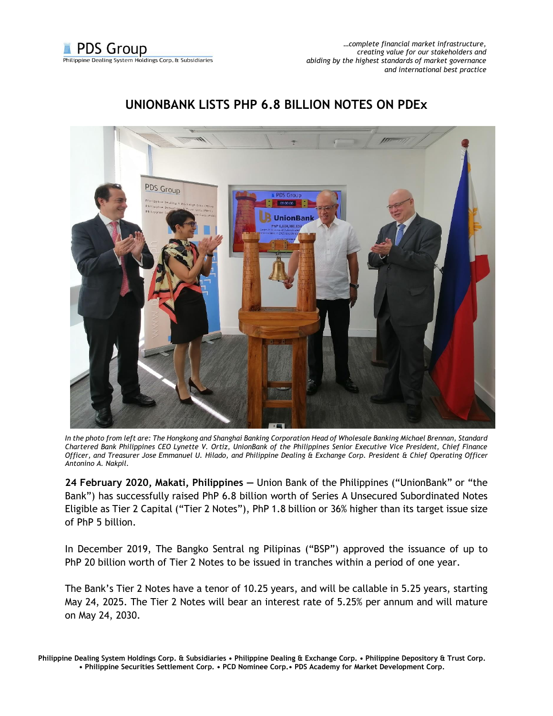

*…complete financial market infrastructure, creating value for our stakeholders and abiding by the highest standards of market governance and international best practice*

## **UNIONBANK LISTS PHP 6.8 BILLION NOTES ON PDEx**



*In the photo from left are: The Hongkong and Shanghai Banking Corporation Head of Wholesale Banking Michael Brennan, Standard Chartered Bank Philippines CEO Lynette V. Ortiz, UnionBank of the Philippines Senior Executive Vice President, Chief Finance Officer, and Treasurer Jose Emmanuel U. Hilado, and Philippine Dealing & Exchange Corp. President & Chief Operating Officer Antonino A. Nakpil.* 

**24 February 2020, Makati, Philippines —** Union Bank of the Philippines ("UnionBank" or "the Bank") has successfully raised PhP 6.8 billion worth of Series A Unsecured Subordinated Notes Eligible as Tier 2 Capital ("Tier 2 Notes"), PhP 1.8 billion or 36% higher than its target issue size of PhP 5 billion.

In December 2019, The Bangko Sentral ng Pilipinas ("BSP") approved the issuance of up to PhP 20 billion worth of Tier 2 Notes to be issued in tranches within a period of one year.

The Bank's Tier 2 Notes have a tenor of 10.25 years, and will be callable in 5.25 years, starting May 24, 2025. The Tier 2 Notes will bear an interest rate of 5.25% per annum and will mature on May 24, 2030.

**Philippine Dealing System Holdings Corp. & Subsidiaries • Philippine Dealing & Exchange Corp. • Philippine Depository & Trust Corp. • Philippine Securities Settlement Corp. • PCD Nominee Corp.• PDS Academy for Market Development Corp.**